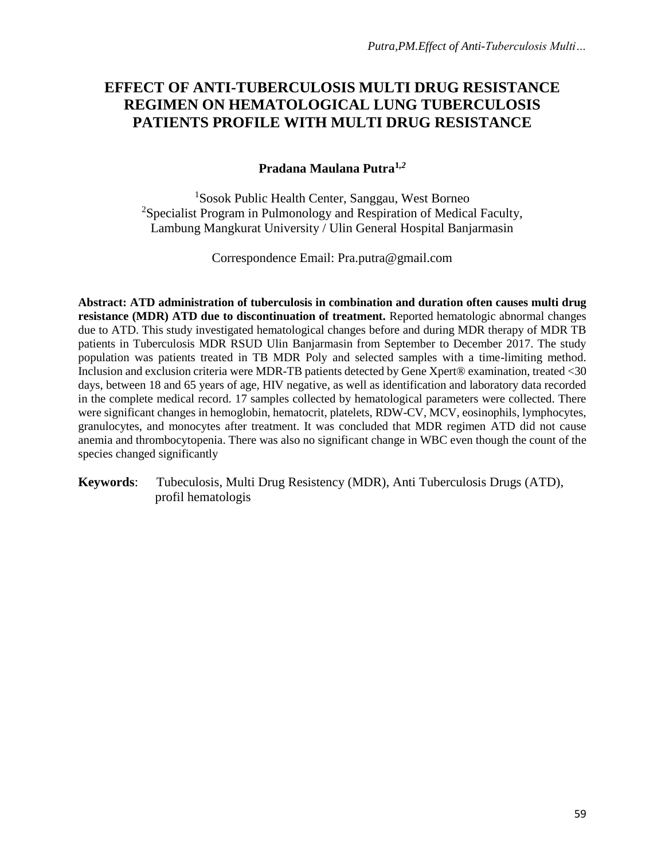# **EFFECT OF ANTI-TUBERCULOSIS MULTI DRUG RESISTANCE REGIMEN ON HEMATOLOGICAL LUNG TUBERCULOSIS PATIENTS PROFILE WITH MULTI DRUG RESISTANCE**

#### **Pradana Maulana Putra<sup>1</sup>***,2*

<sup>1</sup>Sosok Public Health Center, Sanggau, West Borneo <sup>2</sup>Specialist Program in Pulmonology and Respiration of Medical Faculty, Lambung Mangkurat University / Ulin General Hospital Banjarmasin

Correspondence Email: [Pra.putra@gmail.com](mailto:Pra.putra@gmail.com)

**Abstract: ATD administration of tuberculosis in combination and duration often causes multi drug resistance (MDR) ATD due to discontinuation of treatment.** Reported hematologic abnormal changes due to ATD. This study investigated hematological changes before and during MDR therapy of MDR TB patients in Tuberculosis MDR RSUD Ulin Banjarmasin from September to December 2017. The study population was patients treated in TB MDR Poly and selected samples with a time-limiting method. Inclusion and exclusion criteria were MDR-TB patients detected by Gene Xpert® examination, treated <30 days, between 18 and 65 years of age, HIV negative, as well as identification and laboratory data recorded in the complete medical record. 17 samples collected by hematological parameters were collected. There were significant changes in hemoglobin, hematocrit, platelets, RDW-CV, MCV, eosinophils, lymphocytes, granulocytes, and monocytes after treatment. It was concluded that MDR regimen ATD did not cause anemia and thrombocytopenia. There was also no significant change in WBC even though the count of the species changed significantly

**Keywords**: Tubeculosis, Multi Drug Resistency (MDR), Anti Tuberculosis Drugs (ATD), profil hematologis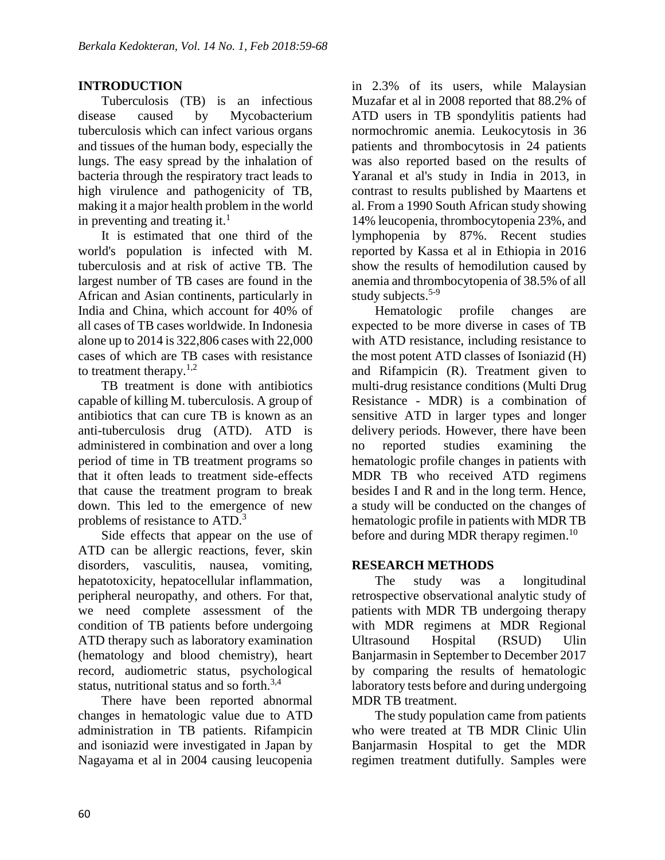### **INTRODUCTION**

Tuberculosis (TB) is an infectious disease caused by Mycobacterium tuberculosis which can infect various organs and tissues of the human body, especially the lungs. The easy spread by the inhalation of bacteria through the respiratory tract leads to high virulence and pathogenicity of TB, making it a major health problem in the world in preventing and treating it.<sup>1</sup>

It is estimated that one third of the world's population is infected with M. tuberculosis and at risk of active TB. The largest number of TB cases are found in the African and Asian continents, particularly in India and China, which account for 40% of all cases of TB cases worldwide. In Indonesia alone up to 2014 is 322,806 cases with 22,000 cases of which are TB cases with resistance to treatment therapy. $1,2$ 

TB treatment is done with antibiotics capable of killing M. tuberculosis. A group of antibiotics that can cure TB is known as an anti-tuberculosis drug (ATD). ATD is administered in combination and over a long period of time in TB treatment programs so that it often leads to treatment side-effects that cause the treatment program to break down. This led to the emergence of new problems of resistance to ATD.<sup>3</sup>

Side effects that appear on the use of ATD can be allergic reactions, fever, skin disorders, vasculitis, nausea, vomiting, hepatotoxicity, hepatocellular inflammation, peripheral neuropathy, and others. For that, we need complete assessment of the condition of TB patients before undergoing ATD therapy such as laboratory examination (hematology and blood chemistry), heart record, audiometric status, psychological status, nutritional status and so forth. $3,4$ 

There have been reported abnormal changes in hematologic value due to ATD administration in TB patients. Rifampicin and isoniazid were investigated in Japan by Nagayama et al in 2004 causing leucopenia in 2.3% of its users, while Malaysian Muzafar et al in 2008 reported that 88.2% of ATD users in TB spondylitis patients had normochromic anemia. Leukocytosis in 36 patients and thrombocytosis in 24 patients was also reported based on the results of Yaranal et al's study in India in 2013, in contrast to results published by Maartens et al. From a 1990 South African study showing 14% leucopenia, thrombocytopenia 23%, and lymphopenia by 87%. Recent studies reported by Kassa et al in Ethiopia in 2016 show the results of hemodilution caused by anemia and thrombocytopenia of 38.5% of all study subjects. $5-9$ 

Hematologic profile changes are expected to be more diverse in cases of TB with ATD resistance, including resistance to the most potent ATD classes of Isoniazid (H) and Rifampicin (R). Treatment given to multi-drug resistance conditions (Multi Drug Resistance - MDR) is a combination of sensitive ATD in larger types and longer delivery periods. However, there have been no reported studies examining the hematologic profile changes in patients with MDR TB who received ATD regimens besides I and R and in the long term. Hence, a study will be conducted on the changes of hematologic profile in patients with MDR TB before and during MDR therapy regimen.<sup>10</sup>

#### **RESEARCH METHODS**

The study was a longitudinal retrospective observational analytic study of patients with MDR TB undergoing therapy with MDR regimens at MDR Regional Ultrasound Hospital (RSUD) Ulin Banjarmasin in September to December 2017 by comparing the results of hematologic laboratory tests before and during undergoing MDR TB treatment.

The study population came from patients who were treated at TB MDR Clinic Ulin Banjarmasin Hospital to get the MDR regimen treatment dutifully. Samples were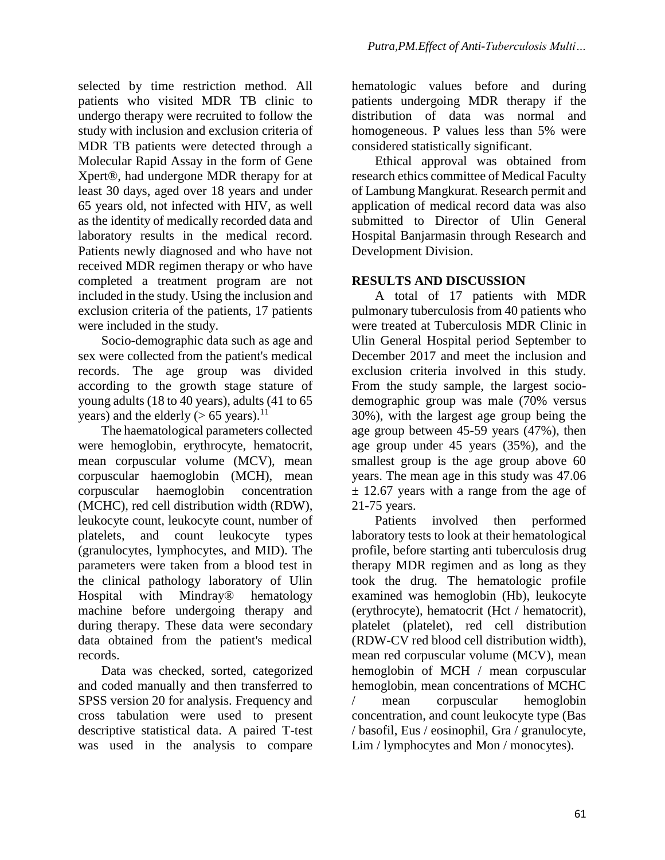selected by time restriction method. All patients who visited MDR TB clinic to undergo therapy were recruited to follow the study with inclusion and exclusion criteria of MDR TB patients were detected through a Molecular Rapid Assay in the form of Gene Xpert®, had undergone MDR therapy for at least 30 days, aged over 18 years and under 65 years old, not infected with HIV, as well as the identity of medically recorded data and laboratory results in the medical record. Patients newly diagnosed and who have not received MDR regimen therapy or who have completed a treatment program are not included in the study. Using the inclusion and exclusion criteria of the patients, 17 patients were included in the study.

Socio-demographic data such as age and sex were collected from the patient's medical records. The age group was divided according to the growth stage stature of young adults (18 to 40 years), adults (41 to 65 years) and the elderly ( $> 65$  years).<sup>11</sup>

The haematological parameters collected were hemoglobin, erythrocyte, hematocrit, mean corpuscular volume (MCV), mean corpuscular haemoglobin (MCH), mean corpuscular haemoglobin concentration (MCHC), red cell distribution width (RDW), leukocyte count, leukocyte count, number of platelets, and count leukocyte types (granulocytes, lymphocytes, and MID). The parameters were taken from a blood test in the clinical pathology laboratory of Ulin Hospital with Mindray® hematology machine before undergoing therapy and during therapy. These data were secondary data obtained from the patient's medical records.

Data was checked, sorted, categorized and coded manually and then transferred to SPSS version 20 for analysis. Frequency and cross tabulation were used to present descriptive statistical data. A paired T-test was used in the analysis to compare

hematologic values before and during patients undergoing MDR therapy if the distribution of data was normal and homogeneous. P values less than 5% were considered statistically significant.

Ethical approval was obtained from research ethics committee of Medical Faculty of Lambung Mangkurat. Research permit and application of medical record data was also submitted to Director of Ulin General Hospital Banjarmasin through Research and Development Division.

## **RESULTS AND DISCUSSION**

A total of 17 patients with MDR pulmonary tuberculosis from 40 patients who were treated at Tuberculosis MDR Clinic in Ulin General Hospital period September to December 2017 and meet the inclusion and exclusion criteria involved in this study. From the study sample, the largest sociodemographic group was male (70% versus 30%), with the largest age group being the age group between 45-59 years (47%), then age group under 45 years (35%), and the smallest group is the age group above 60 years. The mean age in this study was 47.06  $\pm$  12.67 years with a range from the age of 21-75 years.

Patients involved then performed laboratory tests to look at their hematological profile, before starting anti tuberculosis drug therapy MDR regimen and as long as they took the drug. The hematologic profile examined was hemoglobin (Hb), leukocyte (erythrocyte), hematocrit (Hct / hematocrit), platelet (platelet), red cell distribution (RDW-CV red blood cell distribution width), mean red corpuscular volume (MCV), mean hemoglobin of MCH / mean corpuscular hemoglobin, mean concentrations of MCHC / mean corpuscular hemoglobin concentration, and count leukocyte type (Bas / basofil, Eus / eosinophil, Gra / granulocyte, Lim / lymphocytes and Mon / monocytes).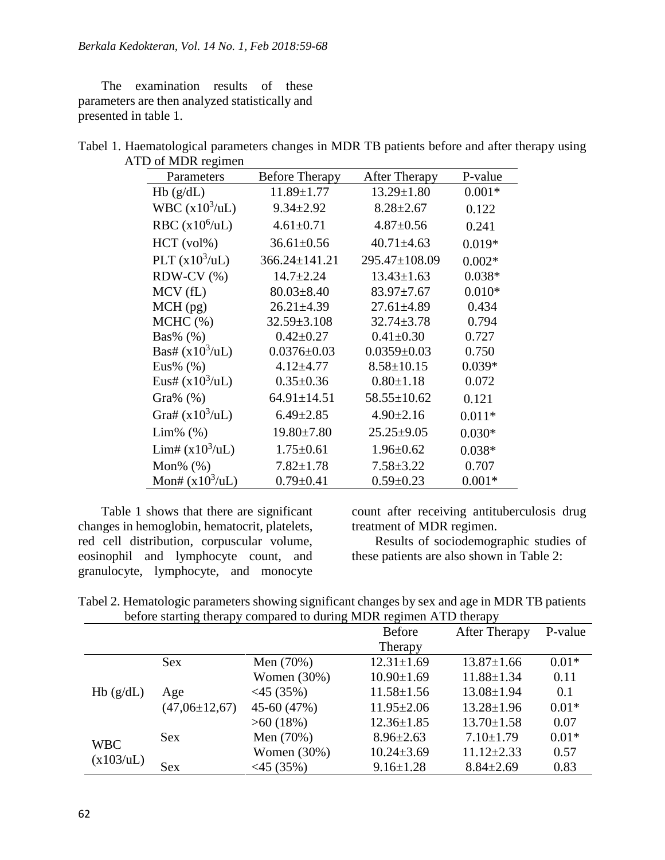The examination results of these parameters are then analyzed statistically and presented in table 1.

| Tabel 1. Haematological parameters changes in MDR TB patients before and after therapy using |  |  |  |
|----------------------------------------------------------------------------------------------|--|--|--|
| ATD of MDR regimen                                                                           |  |  |  |

| Parameters        | <b>Before Therapy</b> | <b>After Therapy</b> | P-value  |
|-------------------|-----------------------|----------------------|----------|
| Hb(g/dL)          | $11.89 \pm 1.77$      | $13.29 \pm 1.80$     | $0.001*$ |
| WBC $(x10^3/uL)$  | $9.34 \pm 2.92$       | $8.28 \pm 2.67$      | 0.122    |
| RBC $(x10^6/uL)$  | $4.61 \pm 0.71$       | $4.87 \pm 0.56$      | 0.241    |
| $HCT$ (vol%)      | $36.61 \pm 0.56$      | $40.71 \pm 4.63$     | $0.019*$ |
| PLT $(x10^3/uL)$  | $366.24 \pm 141.21$   | 295.47±108.09        | $0.002*$ |
| $RDW-CV$ $%$ )    | $14.7 \pm 2.24$       | $13.43 \pm 1.63$     | $0.038*$ |
| MCV (fL)          | $80.03 \pm 8.40$      | $83.97 \pm 7.67$     | $0.010*$ |
| $MCH$ (pg)        | $26.21 \pm 4.39$      | $27.61 \pm 4.89$     | 0.434    |
| MCHC (%)          | $32.59 \pm 3.108$     | $32.74 \pm 3.78$     | 0.794    |
| $Bas\%$ (%)       | $0.42 \pm 0.27$       | $0.41 \pm 0.30$      | 0.727    |
| Bas# $(x10^3/uL)$ | $0.0376 \pm 0.03$     | $0.0359 \pm 0.03$    | 0.750    |
| Eus% $(\% )$      | $4.12 + 4.77$         | $8.58 \pm 10.15$     | $0.039*$ |
| Eus# $(x10^3/uL)$ | $0.35 \pm 0.36$       | $0.80 \pm 1.18$      | 0.072    |
| Gra% $(\%)$       | $64.91 \pm 14.51$     | $58.55 \pm 10.62$    | 0.121    |
| Gra# $(x10^3/uL)$ | $6.49 \pm 2.85$       | $4.90 \pm 2.16$      | $0.011*$ |
| $Lim\%$ $(\%)$    | $19.80 \pm 7.80$      | $25.25 \pm 9.05$     | $0.030*$ |
| Lim# $(x10^3/uL)$ | $1.75 \pm 0.61$       | $1.96 \pm 0.62$      | $0.038*$ |
| Mon% $(\%)$       | $7.82 \pm 1.78$       | $7.58 \pm 3.22$      | 0.707    |
| Mon# $(x10^3/uL)$ | $0.79 \pm 0.41$       | $0.59 \pm 0.23$      | $0.001*$ |

Table 1 shows that there are significant changes in hemoglobin, hematocrit, platelets, red cell distribution, corpuscular volume, eosinophil and lymphocyte count, and granulocyte, lymphocyte, and monocyte

count after receiving antituberculosis drug treatment of MDR regimen.

Results of sociodemographic studies of these patients are also shown in Table 2:

| Tabel 2. Hematologic parameters showing significant changes by sex and age in MDR TB patients |  |
|-----------------------------------------------------------------------------------------------|--|
| before starting therapy compared to during MDR regimen ATD therapy                            |  |

|                         |                     |                | <b>Before</b>    | <b>After Therapy</b> | P-value |
|-------------------------|---------------------|----------------|------------------|----------------------|---------|
|                         |                     |                | Therapy          |                      |         |
| Hb(g/dL)                | <b>Sex</b>          | Men (70%)      | $12.31 \pm 1.69$ | $13.87 \pm 1.66$     | $0.01*$ |
|                         |                     | Women $(30\%)$ | $10.90 \pm 1.69$ | $11.88 \pm 1.34$     | 0.11    |
|                         | Age                 | $<$ 45 (35%)   | $11.58 \pm 1.56$ | $13.08 \pm 1.94$     | 0.1     |
|                         | $(47,06 \pm 12,67)$ | 45-60 (47%)    | $11.95 \pm 2.06$ | $13.28 \pm 1.96$     | $0.01*$ |
|                         |                     | $>60(18\%)$    | $12.36 \pm 1.85$ | $13.70 \pm 1.58$     | 0.07    |
| <b>WBC</b><br>(x103/uL) | <b>Sex</b>          | Men (70%)      | $8.96 \pm 2.63$  | $7.10 \pm 1.79$      | $0.01*$ |
|                         |                     | Women $(30\%)$ | $10.24 \pm 3.69$ | $11.12 \pm 2.33$     | 0.57    |
|                         | <b>Sex</b>          | $<$ 45 (35%)   | $9.16 \pm 1.28$  | $8.84 \pm 2.69$      | 0.83    |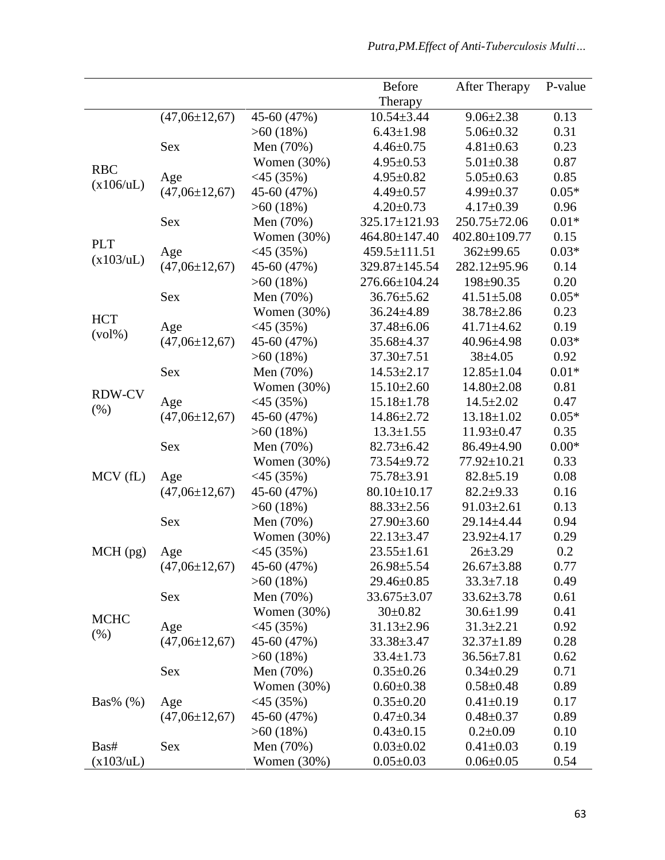|               |                     |                | <b>Before</b>     | <b>After Therapy</b> | P-value |
|---------------|---------------------|----------------|-------------------|----------------------|---------|
|               |                     |                | Therapy           |                      |         |
|               | $(47,06 \pm 12,67)$ | 45-60 (47%)    | $10.54 \pm 3.44$  | $9.06 \pm 2.38$      | 0.13    |
|               |                     | $>60(18\%)$    | $6.43 \pm 1.98$   | $5.06 \pm 0.32$      | 0.31    |
|               | Sex                 | Men (70%)      | $4.46 \pm 0.75$   | $4.81 \pm 0.63$      | 0.23    |
|               |                     | Women $(30%)$  | $4.95 \pm 0.53$   | $5.01 \pm 0.38$      | 0.87    |
| <b>RBC</b>    | Age                 | $<$ 45 (35%)   | $4.95 \pm 0.82$   | $5.05 \pm 0.63$      | 0.85    |
| (x106/uL)     | $(47,06 \pm 12,67)$ | 45-60 (47%)    | $4.49 \pm 0.57$   | $4.99 \pm 0.37$      | $0.05*$ |
|               |                     | $>60(18\%)$    | $4.20 \pm 0.73$   | $4.17 \pm 0.39$      | 0.96    |
|               | Sex                 | Men (70%)      | 325.17±121.93     | 250.75±72.06         | $0.01*$ |
|               |                     | Women $(30%)$  | 464.80±147.40     | 402.80±109.77        | 0.15    |
| <b>PLT</b>    |                     |                | 459.5±111.51      | $362 + 99.65$        | $0.03*$ |
| (x103/uL)     | Age                 | $<$ 45 (35%)   |                   |                      |         |
|               | $(47,06 \pm 12,67)$ | 45-60 (47%)    | 329.87±145.54     | 282.12±95.96         | 0.14    |
|               |                     | $>60(18\%)$    | 276.66±104.24     | 198±90.35            | 0.20    |
|               | <b>Sex</b>          | Men (70%)      | $36.76 \pm 5.62$  | $41.51 \pm 5.08$     | $0.05*$ |
| <b>HCT</b>    |                     | Women $(30%)$  | $36.24 \pm 4.89$  | $38.78 \pm 2.86$     | 0.23    |
| $(vol\%)$     | Age                 | $<$ 45 (35%)   | $37.48 \pm 6.06$  | $41.71 \pm 4.62$     | 0.19    |
|               | $(47,06 \pm 12,67)$ | 45-60 (47%)    | 35.68±4.37        | $40.96 \pm 4.98$     | $0.03*$ |
|               |                     | $>60(18\%)$    | $37.30 \pm 7.51$  | $38 + 4.05$          | 0.92    |
|               | <b>Sex</b>          | Men (70%)      | $14.53 \pm 2.17$  | $12.85 \pm 1.04$     | $0.01*$ |
| <b>RDW-CV</b> |                     | Women $(30\%)$ | $15.10 \pm 2.60$  | $14.80 \pm 2.08$     | 0.81    |
| (% )          | Age                 | $<$ 45 (35%)   | $15.18 \pm 1.78$  | $14.5 \pm 2.02$      | 0.47    |
|               | $(47,06 \pm 12,67)$ | 45-60 (47%)    | 14.86±2.72        | $13.18 \pm 1.02$     | $0.05*$ |
|               |                     | $>60(18\%)$    | $13.3 \pm 1.55$   | $11.93 \pm 0.47$     | 0.35    |
|               | <b>Sex</b>          | Men (70%)      | $82.73 \pm 6.42$  | 86.49±4.90           | $0.00*$ |
|               |                     | Women $(30%)$  | 73.54±9.72        | 77.92±10.21          | 0.33    |
| $MCV$ (fL)    | Age                 | $<$ 45 (35%)   | 75.78±3.91        | $82.8 \pm 5.19$      | 0.08    |
|               | $(47,06 \pm 12,67)$ | 45-60 (47%)    | $80.10 \pm 10.17$ | $82.2+9.33$          | 0.16    |
|               |                     | >60(18%)       | $88.33 \pm 2.56$  | $91.03 \pm 2.61$     | 0.13    |
|               | Sex                 | Men (70%)      | $27.90 \pm 3.60$  | 29.14±4.44           | 0.94    |
|               |                     | Women $(30%)$  | $22.13 \pm 3.47$  | 23.92±4.17           | 0.29    |
| MCH (pg)      | Age                 | $<$ 45 (35%)   | $23.55 \pm 1.61$  | $26 \pm 3.29$        | 0.2     |
|               | $(47,06 \pm 12,67)$ | 45-60 (47%)    | $26.98 \pm 5.54$  | $26.67 \pm 3.88$     | 0.77    |
|               |                     | $>60(18\%)$    | 29.46±0.85        | $33.3 \pm 7.18$      | 0.49    |
|               | Sex                 | Men (70%)      | $33.675 \pm 3.07$ | $33.62 \pm 3.78$     | 0.61    |
|               |                     | Women (30%)    | $30 \pm 0.82$     | $30.6 \pm 1.99$      | 0.41    |
| <b>MCHC</b>   | Age                 | $<$ 45 (35%)   | $31.13 \pm 2.96$  | $31.3 \pm 2.21$      | 0.92    |
| (% )          | $(47,06 \pm 12,67)$ | 45-60 (47%)    | 33.38±3.47        | $32.37 \pm 1.89$     | 0.28    |
|               |                     | $>60(18\%)$    | $33.4 \pm 1.73$   | $36.56 \pm 7.81$     | 0.62    |
|               | Sex                 | Men (70%)      | $0.35 \pm 0.26$   | $0.34 \pm 0.29$      | 0.71    |
|               |                     | Women (30%)    | $0.60 \pm 0.38$   | $0.58 \pm 0.48$      | 0.89    |
| $Bas\%$ (%)   | Age                 | $<$ 45 (35%)   | $0.35 \pm 0.20$   | $0.41 \pm 0.19$      | 0.17    |
|               | $(47,06\pm12,67)$   | 45-60 (47%)    | $0.47 \pm 0.34$   | $0.48 \pm 0.37$      | 0.89    |
|               |                     | $>60(18\%)$    | $0.43 \pm 0.15$   | $0.2 \pm 0.09$       | 0.10    |
| Bas#          | Sex                 | Men (70%)      | $0.03 \pm 0.02$   | $0.41 \pm 0.03$      | 0.19    |
|               |                     |                |                   | $0.06 \pm 0.05$      | 0.54    |
| (x103/uL)     |                     | Women $(30\%)$ | $0.05 \pm 0.03$   |                      |         |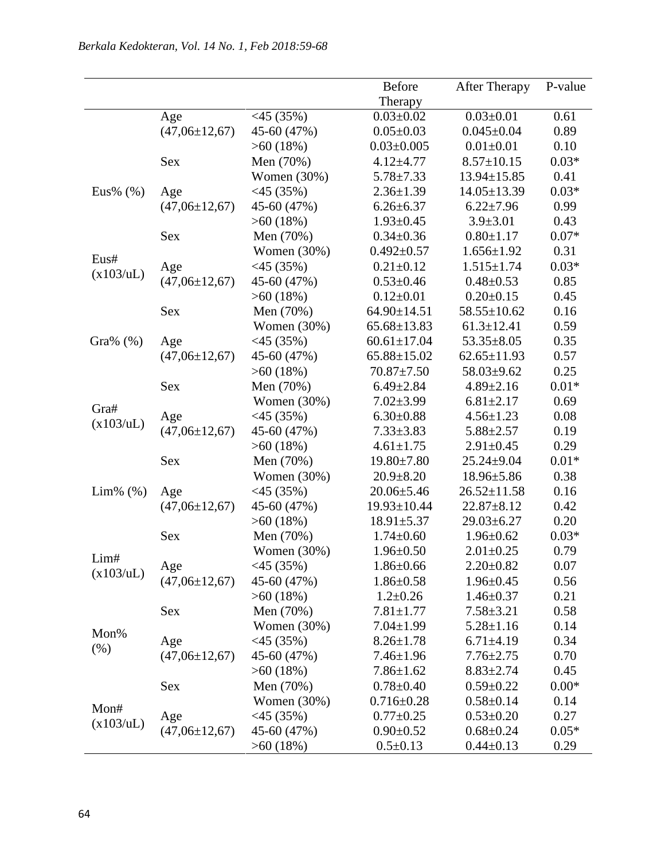|                |                     |               | Before            | <b>After Therapy</b> | P-value |
|----------------|---------------------|---------------|-------------------|----------------------|---------|
|                |                     |               | Therapy           |                      |         |
|                | Age                 | $<$ 45 (35%)  | $0.03 \pm 0.02$   | $0.03 \pm 0.01$      | 0.61    |
|                | $(47,06 \pm 12,67)$ | 45-60 (47%)   | $0.05 \pm 0.03$   | $0.045 \pm 0.04$     | 0.89    |
|                |                     | $>60(18\%)$   | $0.03 \pm 0.005$  | $0.01 \pm 0.01$      | 0.10    |
|                | Sex                 | Men (70%)     | $4.12 \pm 4.77$   | $8.57 \pm 10.15$     | $0.03*$ |
|                |                     | Women (30%)   | $5.78 \pm 7.33$   | 13.94±15.85          | 0.41    |
| Eus% $(\%)$    | Age                 | $<$ 45 (35%)  | $2.36 \pm 1.39$   | $14.05 \pm 13.39$    | $0.03*$ |
|                | $(47,06 \pm 12,67)$ | 45-60 (47%)   | $6.26 \pm 6.37$   | $6.22 \pm 7.96$      | 0.99    |
|                |                     | $>60(18\%)$   | $1.93 \pm 0.45$   | $3.9 \pm 3.01$       | 0.43    |
|                | <b>Sex</b>          | Men (70%)     | $0.34 \pm 0.36$   | $0.80 \pm 1.17$      | $0.07*$ |
|                |                     | Women (30%)   | $0.492 \pm 0.57$  | $1.656 \pm 1.92$     | 0.31    |
| Eus#           | Age                 | $<$ 45 (35%)  | $0.21 \pm 0.12$   | $1.515 \pm 1.74$     | $0.03*$ |
| (x103/uL)      | $(47,06 \pm 12,67)$ | 45-60 (47%)   | $0.53 \pm 0.46$   | $0.48 \pm 0.53$      | 0.85    |
|                |                     | $>60(18\%)$   | $0.12 \pm 0.01$   | $0.20 \pm 0.15$      | 0.45    |
|                | <b>Sex</b>          | Men (70%)     | 64.90±14.51       | 58.55±10.62          | 0.16    |
|                |                     | Women (30%)   | $65.68 \pm 13.83$ | $61.3 \pm 12.41$     | 0.59    |
| Gra% $(\%)$    | Age                 | $<$ 45 (35%)  | $60.61 \pm 17.04$ | $53.35 \pm 8.05$     | 0.35    |
|                | $(47,06 \pm 12,67)$ | 45-60 (47%)   | $65.88 \pm 15.02$ | $62.65 \pm 11.93$    | 0.57    |
|                |                     | $>60(18\%)$   | $70.87 \pm 7.50$  | $58.03 \pm 9.62$     | 0.25    |
|                | Sex                 | Men (70%)     | $6.49 \pm 2.84$   | $4.89 \pm 2.16$      | $0.01*$ |
|                |                     | Women (30%)   | $7.02 \pm 3.99$   | $6.81 \pm 2.17$      | 0.69    |
| Gra#           | Age                 | $<$ 45 (35%)  | $6.30 \pm 0.88$   | $4.56 \pm 1.23$      | 0.08    |
| (x103/uL)      | $(47,06 \pm 12,67)$ | 45-60 (47%)   | $7.33 \pm 3.83$   | $5.88 \pm 2.57$      | 0.19    |
|                |                     | $>60(18\%)$   | $4.61 \pm 1.75$   | $2.91 \pm 0.45$      | 0.29    |
|                | Sex                 | Men (70%)     | $19.80 \pm 7.80$  | $25.24 \pm 9.04$     | $0.01*$ |
|                |                     | Women (30%)   | $20.9 \pm 8.20$   | $18.96 \pm 5.86$     | 0.38    |
| $Lim\%$ $(\%)$ | Age                 | $<$ 45 (35%)  | $20.06 \pm 5.46$  | $26.52 \pm 11.58$    | 0.16    |
|                | $(47,06 \pm 12,67)$ | 45-60 (47%)   | 19.93±10.44       | $22.87 + 8.12$       | 0.42    |
|                |                     | $>60(18\%)$   | $18.91 \pm 5.37$  | $29.03 \pm 6.27$     | 0.20    |
|                | <b>Sex</b>          | Men (70%)     | $1.74 \pm 0.60$   | $1.96 \pm 0.62$      | $0.03*$ |
| Lim#           |                     | Women (30%)   | $1.96 \pm 0.50$   | $2.01 \pm 0.25$      | 0.79    |
| (x103/uL)      | Age                 | $<$ 45 (35%)  | $1.86 \pm 0.66$   | $2.20 \pm 0.82$      | 0.07    |
|                | $(47,06 \pm 12,67)$ | 45-60 (47%)   | $1.86 \pm 0.58$   | $1.96 \pm 0.45$      | 0.56    |
|                |                     | $>60(18\%)$   | $1.2 \pm 0.26$    | $1.46 \pm 0.37$      | 0.21    |
|                | Sex                 | Men (70%)     | $7.81 \pm 1.77$   | $7.58 \pm 3.21$      | 0.58    |
| Mon%           |                     | Women (30%)   | $7.04 \pm 1.99$   | $5.28 \pm 1.16$      | 0.14    |
|                | Age                 | $<$ 45 (35%)  | $8.26 \pm 1.78$   | $6.71 \pm 4.19$      | 0.34    |
| (% )           | $(47,06\pm12,67)$   | 45-60 (47%)   | $7.46 \pm 1.96$   | $7.76 \pm 2.75$      | 0.70    |
|                |                     | $>60(18\%)$   | $7.86 \pm 1.62$   | $8.83 \pm 2.74$      | 0.45    |
|                | Sex                 | Men (70%)     | $0.78 \pm 0.40$   | $0.59 \pm 0.22$      | $0.00*$ |
|                |                     | Women $(30%)$ | $0.716 \pm 0.28$  | $0.58 \pm 0.14$      | 0.14    |
| Mon#           | Age                 | $<$ 45 (35%)  | $0.77 \pm 0.25$   | $0.53 \pm 0.20$      | 0.27    |
| (x103/uL)      | $(47,06 \pm 12,67)$ | 45-60 (47%)   | $0.90 \pm 0.52$   | $0.68 \pm 0.24$      | $0.05*$ |
|                |                     | $>60(18\%)$   | $0.5 \pm 0.13$    | $0.44 \pm 0.13$      | 0.29    |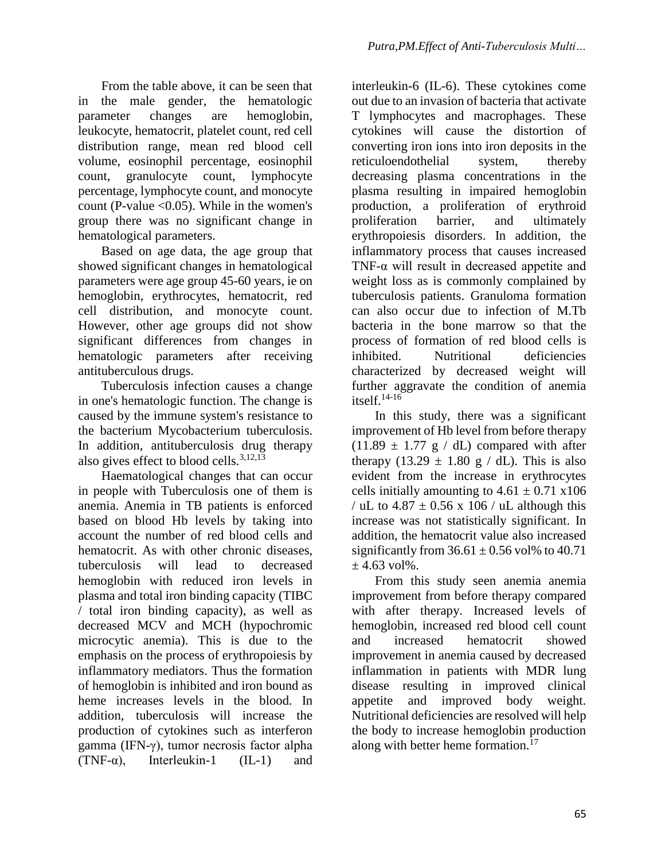From the table above, it can be seen that in the male gender, the hematologic parameter changes are hemoglobin, leukocyte, hematocrit, platelet count, red cell distribution range, mean red blood cell volume, eosinophil percentage, eosinophil count, granulocyte count, lymphocyte percentage, lymphocyte count, and monocyte count (P-value  $< 0.05$ ). While in the women's group there was no significant change in hematological parameters.

Based on age data, the age group that showed significant changes in hematological parameters were age group 45-60 years, ie on hemoglobin, erythrocytes, hematocrit, red cell distribution, and monocyte count. However, other age groups did not show significant differences from changes in hematologic parameters after receiving antituberculous drugs.

Tuberculosis infection causes a change in one's hematologic function. The change is caused by the immune system's resistance to the bacterium Mycobacterium tuberculosis. In addition, antituberculosis drug therapy also gives effect to blood cells. $3,12,13$ 

Haematological changes that can occur in people with Tuberculosis one of them is anemia. Anemia in TB patients is enforced based on blood Hb levels by taking into account the number of red blood cells and hematocrit. As with other chronic diseases, tuberculosis will lead to decreased hemoglobin with reduced iron levels in plasma and total iron binding capacity (TIBC / total iron binding capacity), as well as decreased MCV and MCH (hypochromic microcytic anemia). This is due to the emphasis on the process of erythropoiesis by inflammatory mediators. Thus the formation of hemoglobin is inhibited and iron bound as heme increases levels in the blood. In addition, tuberculosis will increase the production of cytokines such as interferon gamma (IFN-γ), tumor necrosis factor alpha (TNF- $\alpha$ ), Interleukin-1 (IL-1) and

interleukin-6 (IL-6). These cytokines come out due to an invasion of bacteria that activate T lymphocytes and macrophages. These cytokines will cause the distortion of converting iron ions into iron deposits in the reticuloendothelial system, thereby decreasing plasma concentrations in the plasma resulting in impaired hemoglobin production, a proliferation of erythroid proliferation barrier, and ultimately erythropoiesis disorders. In addition, the inflammatory process that causes increased TNF-α will result in decreased appetite and weight loss as is commonly complained by tuberculosis patients. Granuloma formation can also occur due to infection of M.Tb bacteria in the bone marrow so that the process of formation of red blood cells is inhibited. Nutritional deficiencies characterized by decreased weight will further aggravate the condition of anemia itself. $14-16$ 

In this study, there was a significant improvement of Hb level from before therapy  $(11.89 \pm 1.77 \text{ g} / \text{ dL})$  compared with after therapy (13.29  $\pm$  1.80 g / dL). This is also evident from the increase in erythrocytes cells initially amounting to  $4.61 \pm 0.71$  x106 / uL to  $4.87 \pm 0.56$  x 106 / uL although this increase was not statistically significant. In addition, the hematocrit value also increased significantly from  $36.61 \pm 0.56$  vol% to 40.71  $\pm$  4.63 vol%.

From this study seen anemia anemia improvement from before therapy compared with after therapy. Increased levels of hemoglobin, increased red blood cell count and increased hematocrit showed improvement in anemia caused by decreased inflammation in patients with MDR lung disease resulting in improved clinical appetite and improved body weight. Nutritional deficiencies are resolved will help the body to increase hemoglobin production along with better heme formation.<sup>17</sup>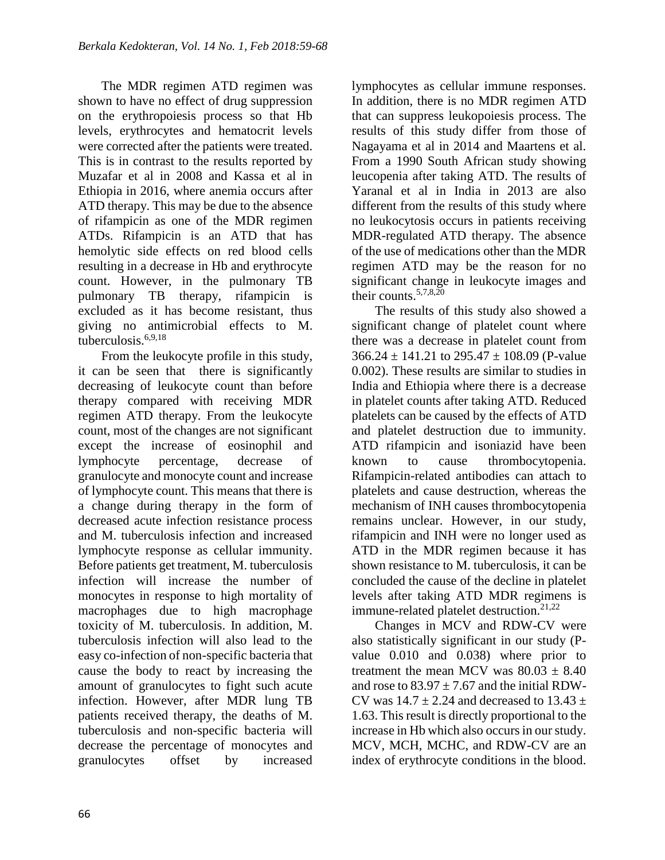The MDR regimen ATD regimen was shown to have no effect of drug suppression on the erythropoiesis process so that Hb levels, erythrocytes and hematocrit levels were corrected after the patients were treated. This is in contrast to the results reported by Muzafar et al in 2008 and Kassa et al in Ethiopia in 2016, where anemia occurs after ATD therapy. This may be due to the absence of rifampicin as one of the MDR regimen ATDs. Rifampicin is an ATD that has hemolytic side effects on red blood cells resulting in a decrease in Hb and erythrocyte count. However, in the pulmonary TB pulmonary TB therapy, rifampicin is excluded as it has become resistant, thus giving no antimicrobial effects to M. tuberculosis.6,9,18

From the leukocyte profile in this study, it can be seen that there is significantly decreasing of leukocyte count than before therapy compared with receiving MDR regimen ATD therapy. From the leukocyte count, most of the changes are not significant except the increase of eosinophil and lymphocyte percentage, decrease of granulocyte and monocyte count and increase of lymphocyte count. This means that there is a change during therapy in the form of decreased acute infection resistance process and M. tuberculosis infection and increased lymphocyte response as cellular immunity. Before patients get treatment, M. tuberculosis infection will increase the number of monocytes in response to high mortality of macrophages due to high macrophage toxicity of M. tuberculosis. In addition, M. tuberculosis infection will also lead to the easy co-infection of non-specific bacteria that cause the body to react by increasing the amount of granulocytes to fight such acute infection. However, after MDR lung TB patients received therapy, the deaths of M. tuberculosis and non-specific bacteria will decrease the percentage of monocytes and granulocytes offset by increased

lymphocytes as cellular immune responses. In addition, there is no MDR regimen ATD that can suppress leukopoiesis process. The results of this study differ from those of Nagayama et al in 2014 and Maartens et al. From a 1990 South African study showing leucopenia after taking ATD. The results of Yaranal et al in India in 2013 are also different from the results of this study where no leukocytosis occurs in patients receiving MDR-regulated ATD therapy. The absence of the use of medications other than the MDR regimen ATD may be the reason for no significant change in leukocyte images and their counts.<sup>5,7,8,20</sup>

The results of this study also showed a significant change of platelet count where there was a decrease in platelet count from  $366.24 \pm 141.21$  to  $295.47 \pm 108.09$  (P-value 0.002). These results are similar to studies in India and Ethiopia where there is a decrease in platelet counts after taking ATD. Reduced platelets can be caused by the effects of ATD and platelet destruction due to immunity. ATD rifampicin and isoniazid have been known to cause thrombocytopenia. Rifampicin-related antibodies can attach to platelets and cause destruction, whereas the mechanism of INH causes thrombocytopenia remains unclear. However, in our study, rifampicin and INH were no longer used as ATD in the MDR regimen because it has shown resistance to M. tuberculosis, it can be concluded the cause of the decline in platelet levels after taking ATD MDR regimens is immune-related platelet destruction.<sup>21,22</sup>

Changes in MCV and RDW-CV were also statistically significant in our study (Pvalue 0.010 and 0.038) where prior to treatment the mean MCV was  $80.03 \pm 8.40$ and rose to  $83.97 + 7.67$  and the initial RDW-CV was  $14.7 \pm 2.24$  and decreased to  $13.43 \pm 1.24$ 1.63. This result is directly proportional to the increase in Hb which also occurs in our study. MCV, MCH, MCHC, and RDW-CV are an index of erythrocyte conditions in the blood.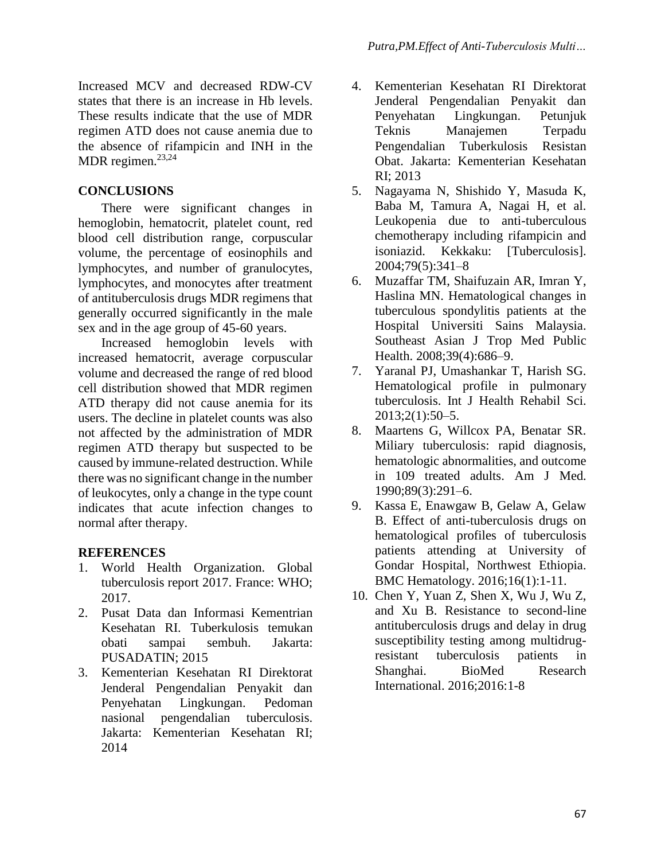Increased MCV and decreased RDW-CV states that there is an increase in Hb levels. These results indicate that the use of MDR regimen ATD does not cause anemia due to the absence of rifampicin and INH in the MDR regimen. $23,24$ 

## **CONCLUSIONS**

There were significant changes in hemoglobin, hematocrit, platelet count, red blood cell distribution range, corpuscular volume, the percentage of eosinophils and lymphocytes, and number of granulocytes, lymphocytes, and monocytes after treatment of antituberculosis drugs MDR regimens that generally occurred significantly in the male sex and in the age group of 45-60 years.

Increased hemoglobin levels with increased hematocrit, average corpuscular volume and decreased the range of red blood cell distribution showed that MDR regimen ATD therapy did not cause anemia for its users. The decline in platelet counts was also not affected by the administration of MDR regimen ATD therapy but suspected to be caused by immune-related destruction. While there was no significant change in the number of leukocytes, only a change in the type count indicates that acute infection changes to normal after therapy.

## **REFERENCES**

- 1. World Health Organization. Global tuberculosis report 2017. France: WHO; 2017.
- 2. Pusat Data dan Informasi Kementrian Kesehatan RI. Tuberkulosis temukan obati sampai sembuh. Jakarta: PUSADATIN; 2015
- 3. Kementerian Kesehatan RI Direktorat Jenderal Pengendalian Penyakit dan Penyehatan Lingkungan. Pedoman nasional pengendalian tuberculosis. Jakarta: Kementerian Kesehatan RI; 2014
- 4. Kementerian Kesehatan RI Direktorat Jenderal Pengendalian Penyakit dan Penyehatan Lingkungan. Petunjuk Teknis Manajemen Terpadu Pengendalian Tuberkulosis Resistan Obat. Jakarta: Kementerian Kesehatan RI; 2013
- 5. Nagayama N, Shishido Y, Masuda K, Baba M, Tamura A, Nagai H, et al. Leukopenia due to anti-tuberculous chemotherapy including rifampicin and isoniazid. Kekkaku: [Tuberculosis]. 2004;79(5):341–8
- 6. Muzaffar TM, Shaifuzain AR, Imran Y, Haslina MN. Hematological changes in tuberculous spondylitis patients at the Hospital Universiti Sains Malaysia. Southeast Asian J Trop Med Public Health. 2008;39(4):686–9.
- 7. Yaranal PJ, Umashankar T, Harish SG. Hematological profile in pulmonary tuberculosis. Int J Health Rehabil Sci. 2013;2(1):50–5.
- 8. Maartens G, Willcox PA, Benatar SR. Miliary tuberculosis: rapid diagnosis, hematologic abnormalities, and outcome in 109 treated adults. Am J Med. 1990;89(3):291–6.
- 9. Kassa E, Enawgaw B, Gelaw A, Gelaw B. Effect of anti-tuberculosis drugs on hematological profiles of tuberculosis patients attending at University of Gondar Hospital, Northwest Ethiopia. BMC Hematology. 2016;16(1):1-11.
- 10. Chen Y, Yuan Z, Shen X, Wu J, Wu Z, and Xu B. Resistance to second-line antituberculosis drugs and delay in drug susceptibility testing among multidrugresistant tuberculosis patients in Shanghai. BioMed Research International. 2016;2016:1-8